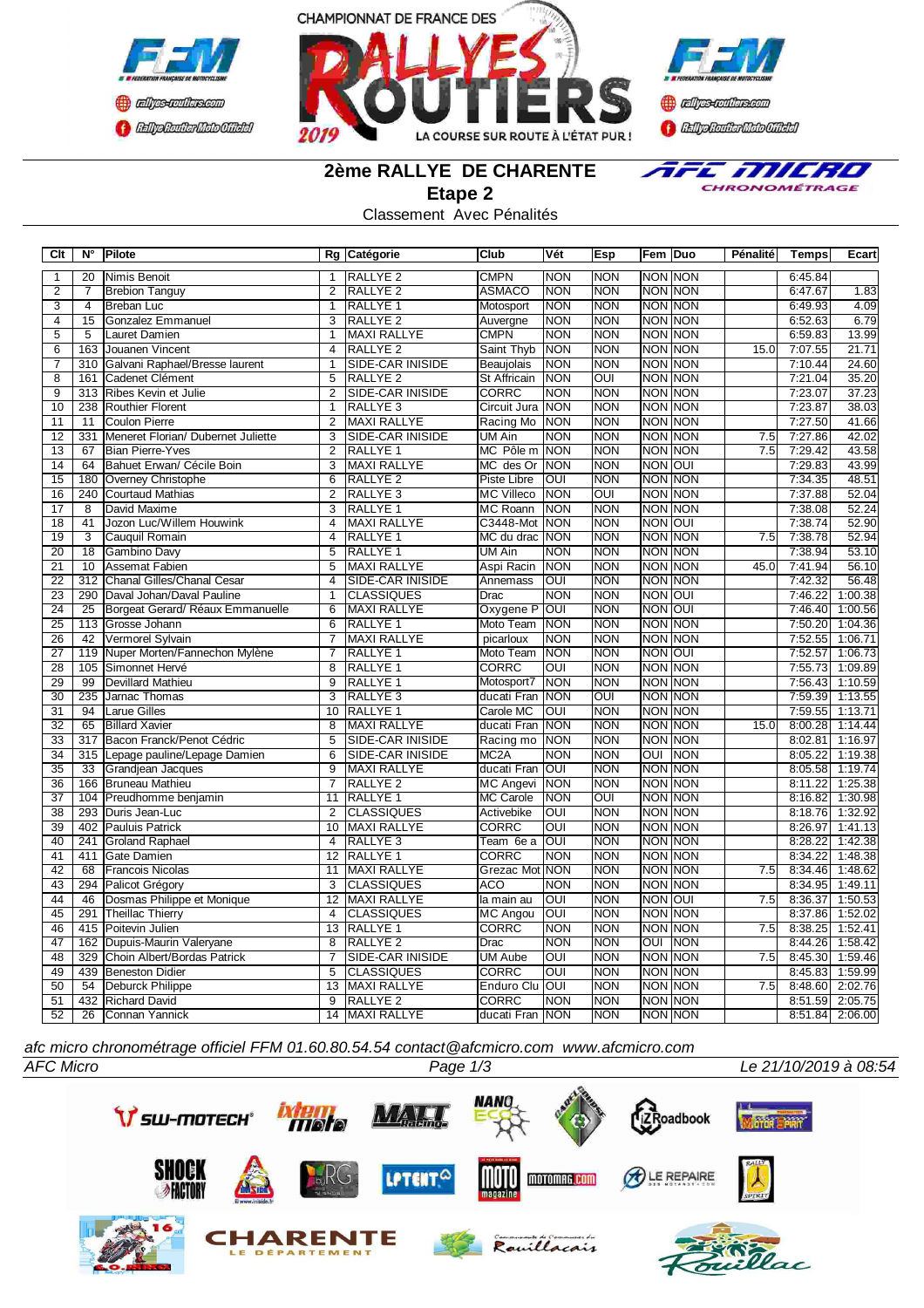





**2ème RALLYE DE CHARENTE**



**Etape 2**

|  | Classement Avec Pénalités |
|--|---------------------------|
|--|---------------------------|

| C <sub>it</sub> | $N^{\circ}$               | Pilote                                             |                                  | Rg Catégorie                          | Club                            | Vét               | <b>Esp</b>               | Fem Duo                 |                                  | Pénalité | <b>Temps</b>       | <b>Ecart</b>       |
|-----------------|---------------------------|----------------------------------------------------|----------------------------------|---------------------------------------|---------------------------------|-------------------|--------------------------|-------------------------|----------------------------------|----------|--------------------|--------------------|
| $\mathbf{1}$    | 20                        | Nimis Benoit                                       | $\mathbf{1}$                     | RALLYE <sub>2</sub>                   | <b>CMPN</b>                     | <b>NON</b>        | <b>NON</b>               |                         | <b>NON NON</b>                   |          | 6:45.84            |                    |
| $\overline{2}$  | 7                         | <b>Brebion Tanguy</b>                              | $\overline{2}$                   | <b>RALLYE 2</b>                       | <b>ASMACO</b>                   | <b>NON</b>        | <b>NON</b>               |                         | NON NON                          |          | 6:47.67            | 1.83               |
| $\overline{3}$  | $\overline{4}$            | <b>Breban</b> Luc                                  | $\overline{1}$                   | <b>RALLYE 1</b>                       | Motosport                       | <b>NON</b>        | <b>NON</b>               |                         | <b>NON NON</b>                   |          | 6:49.93            | 4.09               |
| $\overline{4}$  | 15                        | <b>Gonzalez Emmanuel</b>                           | 3                                | <b>RALLYE 2</b>                       | Auvergne                        | <b>NON</b>        | <b>NON</b>               |                         | NON NON                          |          | 6:52.63            | 6.79               |
| $\overline{5}$  | $\overline{5}$            | Lauret Damien                                      | $\overline{1}$                   | <b>MAXI RALLYE</b>                    | <b>CMPN</b>                     | <b>NON</b>        | <b>NON</b>               | <b>NON NON</b>          |                                  |          | 6:59.83            | 13.99              |
| 6               | 163                       | Jouanen Vincent                                    | $\overline{4}$                   | <b>RALLYE 2</b>                       | Saint Thyb                      | <b>NON</b>        | <b>NON</b>               |                         | <b>NON NON</b>                   | 15.0     | 7:07.55            | 21.71              |
| 7               |                           | 310 Galvani Raphael/Bresse laurent                 | 1                                | SIDE-CAR INISIDE                      | Beaujolais                      | <b>NON</b>        | <b>NON</b>               |                         | <b>NON NON</b>                   |          | 7:10.44            | 24.60              |
| $\overline{8}$  | 161                       | Cadenet Clément                                    | 5                                | <b>RALLYE 2</b>                       | St Affricain                    | <b>NON</b>        | OUI                      |                         | <b>NON NON</b>                   |          | 7:21.04            | 35.20              |
| $\overline{9}$  | 313                       | Ribes Kevin et Julie                               | $\overline{2}$                   | <b>SIDE-CAR INISIDE</b>               | <b>CORRC</b>                    | <b>NON</b>        | <b>NON</b>               |                         | <b>NON NON</b>                   |          | 7:23.07            | 37.23              |
| $\overline{10}$ | 238                       | <b>Routhier Florent</b>                            | 1                                | RALLYE <sub>3</sub>                   | Circuit Jura                    | <b>NON</b>        | <b>NON</b>               |                         | <b>NON NON</b>                   |          | 7:23.87            | 38.03              |
| 11              | $\overline{11}$           | <b>Coulon Pierre</b>                               | 2                                | <b>MAXI RALLYE</b>                    | Racing Mo                       | <b>NON</b>        | <b>NON</b>               |                         | <b>NON NON</b>                   |          | 7:27.50            | 41.66              |
| $\overline{12}$ | 331                       | Meneret Florian/ Dubernet Juliette                 | $\overline{3}$                   | SIDE-CAR INISIDE                      | <b>UM Ain</b>                   | <b>NON</b>        | <b>NON</b>               |                         | <b>NON NON</b>                   | 7.5      | 7:27.86            | 42.02              |
| $\overline{13}$ | 67                        | <b>Bian Pierre-Yves</b>                            | $\overline{2}$                   | <b>RALLYE 1</b>                       | MC Pôle m                       | <b>NON</b>        | <b>NON</b>               |                         | <b>NON NON</b>                   | 7.5      | 7:29.42            | 43.58              |
| $\overline{14}$ | 64                        | Bahuet Erwan/ Cécile Boin                          | $\overline{3}$                   | <b>MAXI RALLYE</b>                    | MC des Or                       | <b>NON</b>        | <b>NON</b>               | <b>NON OUI</b>          |                                  |          | 7:29.83            | 43.99              |
| $\overline{15}$ | 180                       | Overney Christophe                                 | 6                                | <b>RALLYE 2</b>                       | Piste Libre                     | OUI               | <b>NON</b>               |                         | <b>NON NON</b>                   |          | 7:34.35            | 48.51              |
| 16              | 240                       | <b>Courtaud Mathias</b>                            | $\overline{2}$                   | RALLYE <sub>3</sub>                   | <b>MC Villeco</b>               | <b>NON</b>        | $\overline{O}$           | <b>NON NON</b>          |                                  |          | 7:37.88            | 52.04              |
| $\overline{17}$ | $\overline{8}$            | David Maxime                                       | $\overline{3}$                   | <b>RALLYE 1</b>                       | <b>MC Roann</b>                 | <b>NON</b>        | <b>NON</b>               |                         | <b>NON NON</b>                   |          | 7:38.08            | 52.24              |
| $\overline{18}$ | 41                        | Jozon Luc/Willem Houwink                           | 4                                | <b>MAXI RALLYE</b>                    | C3448-Mot                       | <b>NON</b>        | <b>NON</b>               | <b>NON OUI</b>          |                                  |          | 7:38.74            | 52.90              |
| 19              | $\overline{\overline{3}}$ | Cauquil Romain                                     | 4                                | <b>RALLYE 1</b>                       | MC du drac                      | <b>NON</b>        | <b>NON</b>               | <b>NON NON</b>          |                                  | 7.5      | 7:38.78            | 52.94              |
| $\overline{20}$ | $\overline{18}$           | <b>Gambino Davy</b>                                | $\overline{5}$                   | <b>RALLYE 1</b>                       | <b>UM Ain</b>                   | <b>NON</b>        | <b>NON</b>               |                         | <b>NON NON</b>                   |          | 7:38.94            | 53.10              |
| 21              | 10                        | <b>Assemat Fabien</b>                              | 5                                | <b>MAXI RALLYE</b>                    | Aspi Racin                      | <b>NON</b>        | <b>NON</b>               | NON MON                 |                                  | 45.0     | 7:41.94            | 56.10              |
| $\overline{22}$ | $\overline{312}$          | Chanal Gilles/Chanal Cesar                         | $\overline{4}$                   | <b>SIDE-CAR INISIDE</b>               | Annemass                        | OUI               | <b>NON</b>               |                         | <b>NON NON</b>                   |          | 7:42.32            | 56.48              |
| 23              |                           | 290 Daval Johan/Daval Pauline                      | $\mathbf{1}$                     | <b>CLASSIQUES</b>                     | Drac                            | <b>NON</b>        | <b>NON</b>               | <b>NON OUI</b>          |                                  |          | 7:46.22            | 1:00.38            |
| $\overline{24}$ | 25                        | Borgeat Gerard/ Réaux Emmanuelle                   | 6                                | <b>MAXI RALLYE</b>                    | Oxygene P                       | Б                 | <b>NON</b>               | <b>NON OUI</b>          |                                  |          | 7:46.40            | 1:00.56            |
| 25              |                           | 113 Grosse Johann                                  | 6                                | RALLYE <sub>1</sub>                   | Moto Team                       | <b>NON</b>        | <b>NON</b>               | <b>NON NON</b>          |                                  |          | 7:50.20            | 1:04.36            |
| 26              | 42                        | Vermorel Sylvain                                   |                                  | <b>MAXI RALLYE</b>                    | picarloux                       | <b>NON</b>        | <b>NON</b>               |                         | <b>NON NON</b>                   |          | 7:52.55            | 1:06.71            |
| $\overline{27}$ | 119                       | Nuper Morten/Fannechon Mylène                      | $\overline{7}$                   | RALLYE <sub>1</sub>                   | Moto Team                       | <b>NON</b>        | <b>NON</b>               | <b>NON OUI</b>          |                                  |          | 7:52.57            | 1:06.73            |
| 28              | 105                       | Simonnet Hervé                                     | 8                                | RALLYE <sub>1</sub>                   | CORRC                           | OUI               | <b>NON</b>               |                         | <b>NON NON</b>                   |          | 7:55.73            | 1:09.89            |
| 29              | 99                        | Devillard Mathieu                                  | 9                                | RALLYE <sub>1</sub>                   | Motosport7                      | <b>NON</b>        | <b>NON</b>               | NON NON                 |                                  |          | 7:56.43            | 1:10.59            |
| 30              | 235                       | Jarnac Thomas                                      | 3                                | RALLYE <sub>3</sub>                   | ducati Fran                     | <b>NON</b>        | OUI                      |                         | <b>NON NON</b>                   |          | 7:59.39            | 1:13.55            |
| 31              | 94                        | <b>Larue Gilles</b>                                | 10                               | RALLYE <sub>1</sub>                   | Carole MC                       | OUI               | <b>NON</b>               |                         | NON NON                          |          | 7:59.55            | 1:13.71            |
| $\overline{32}$ | 65                        | <b>Billard Xavier</b>                              | $\overline{8}$                   | <b>MAXI RALLYE</b>                    | ducati Fran                     | <b>NON</b>        | <b>NON</b>               |                         | <b>NON NON</b>                   | 15.0     | 8:00.28            | 1:14.44            |
| 33              | 317                       | Bacon Franck/Penot Cédric                          | 5                                | SIDE-CAR INISIDE                      | Racing mo                       | <b>NON</b>        | <b>NON</b>               |                         | <b>NON NON</b>                   |          | 8:02.81            | 1:16.97            |
| $\overline{34}$ | 315                       | Lepage pauline/Lepage Damien                       | $\overline{6}$                   | SIDE-CAR INISIDE                      | MC <sub>2</sub> A               | <b>NON</b>        | <b>NON</b>               | $\overline{\text{OUI}}$ | <b>NON</b>                       |          | 8:05.22            | 1:19.38            |
| $\overline{35}$ | 33                        | Grandjean Jacques                                  | 9                                | <b>MAXI RALLYE</b>                    | ducati Fran                     | OUI               | <b>NON</b>               |                         | <b>NON NON</b>                   |          | 8:05.58            | 1:19.74            |
| 36              |                           | 166 Bruneau Mathieu                                | $\overline{7}$                   | <b>RALLYE 2</b>                       | <b>MC Angevi</b>                | <b>NON</b>        | <b>NON</b>               |                         | <b>NON NON</b>                   |          | 8:11.22            | 1:25.38            |
| 37              |                           | 104 Preudhomme benjamin                            | 11                               | RALLYE <sub>1</sub>                   | <b>MC Carole</b>                | <b>NON</b>        | <b>OUI</b>               |                         | <b>NON NON</b>                   |          | 8:16.82            | 1:30.98            |
| $\overline{38}$ | 293                       | Duris Jean-Luc                                     | $\overline{2}$                   | <b>CLASSIQUES</b>                     | Activebike                      | $\overline{O}$    | <b>NON</b>               |                         | <b>NON NON</b>                   |          | 8:18.76            | 1:32.92            |
| 39              | 402                       | Pauluis Patrick                                    | 10                               | <b>MAXI RALLYE</b>                    | <b>CORRC</b>                    | $\overline{O}$    | <b>NON</b>               |                         | <b>NON NON</b>                   |          | 8:26.97            | 1:41.13            |
| 40              | 241                       | <b>Groland Raphael</b>                             | $\overline{4}$                   | <b>RALLYE 3</b>                       | Team 6e a                       | Б                 | <b>NON</b>               |                         | <b>NON NON</b>                   |          | 8:28.22            | 1:42.38            |
| 41              |                           | 411 Gate Damien                                    | 12                               | <b>RALLYE 1</b>                       | <b>CORRC</b>                    | <b>NON</b>        | <b>NON</b>               |                         | <b>NON NON</b>                   |          | 8:34.22            | 1:48.38            |
| 42              | 68                        | <b>Francois Nicolas</b>                            | $\overline{11}$                  | <b>MAXI RALLYE</b>                    | <b>Grezac Mot NON</b>           |                   | <b>NON</b>               |                         | <b>NON NON</b>                   | 7.5      | 8:34.46            | 1:48.62            |
| 43              | 294                       | Palicot Grégory                                    | 3                                | <b>CLASSIQUES</b>                     | <b>ACO</b>                      | <b>NON</b>        | <b>NON</b>               |                         | <b>NON NON</b>                   |          | 8:34.95            | 1:49.11            |
| 44              | 46                        | Dosmas Philippe et Monique                         | $\overline{12}$                  | <b>MAXI RALLYE</b>                    | la main au                      | Б                 | <b>NON</b>               | <b>NON OUT</b>          |                                  | 7.5      | 8:36.37            | 1:50.53            |
| 45<br>46        | 291                       | <b>Theillac Thierry</b>                            | $\overline{4}$                   | <b>CLASSIQUES</b>                     | <b>MC Angou</b><br><b>CORRC</b> | OUI<br><b>NON</b> | <b>NON</b>               |                         | <b>NON NON</b>                   | 7.5      | 8:37.86<br>8:38.25 | 1:52.02            |
| 47              |                           | 415 Poitevin Julien                                | 13                               | <b>RALLYE 1</b>                       |                                 |                   | <b>NON</b>               |                         | <b>NON NON</b>                   |          |                    | 1:52.41            |
|                 |                           | 162 Dupuis-Maurin Valeryane                        | $\overline{8}$<br>$\overline{7}$ | <b>RALLYE 2</b>                       | <b>Drac</b>                     | <b>NON</b><br>σuι | <b>NON</b><br><b>NON</b> | $\overline{\text{OUI}}$ | <b>NON</b>                       |          | 8:44.26            | 1:58.42            |
| 48<br>49        | 329                       | Choin Albert/Bordas Patrick<br>439 Beneston Didier | 5                                | SIDE-CAR INISIDE<br><b>CLASSIQUES</b> | <b>UM Aube</b>                  | $\overline{O}$    | <b>NON</b>               |                         | <b>NON NON</b><br><b>NON NON</b> | 7.5      | 8:45.30<br>8:45.83 | 1:59.46            |
| 50              | 54                        |                                                    | 13                               | <b>MAXI RALLYE</b>                    | <b>CORRC</b>                    | loui              | <b>NON</b>               |                         | <b>NON NON</b>                   | 7.5      | 8:48.60            | 1:59.99<br>2:02.76 |
| $\overline{51}$ |                           | <b>Deburck Philippe</b>                            | 9                                | <b>RALLYE 2</b>                       | Enduro Clu                      | <b>NON</b>        | <b>NON</b>               |                         | NON NON                          |          | 8:51.59            | 2:05.75            |
| 52              | 26                        | 432 Richard David<br>Connan Yannick                |                                  | 14 MAXI RALLYE                        | CORRC<br>ducati Fran NON        |                   | <b>NON</b>               |                         | NON NON                          |          |                    | 8:51.84 2:06.00    |
|                 |                           |                                                    |                                  |                                       |                                 |                   |                          |                         |                                  |          |                    |                    |

*afc micro chronométrage officiel FFM 01.60.80.54.54 contact@afcmicro.com www.afcmicro.com*



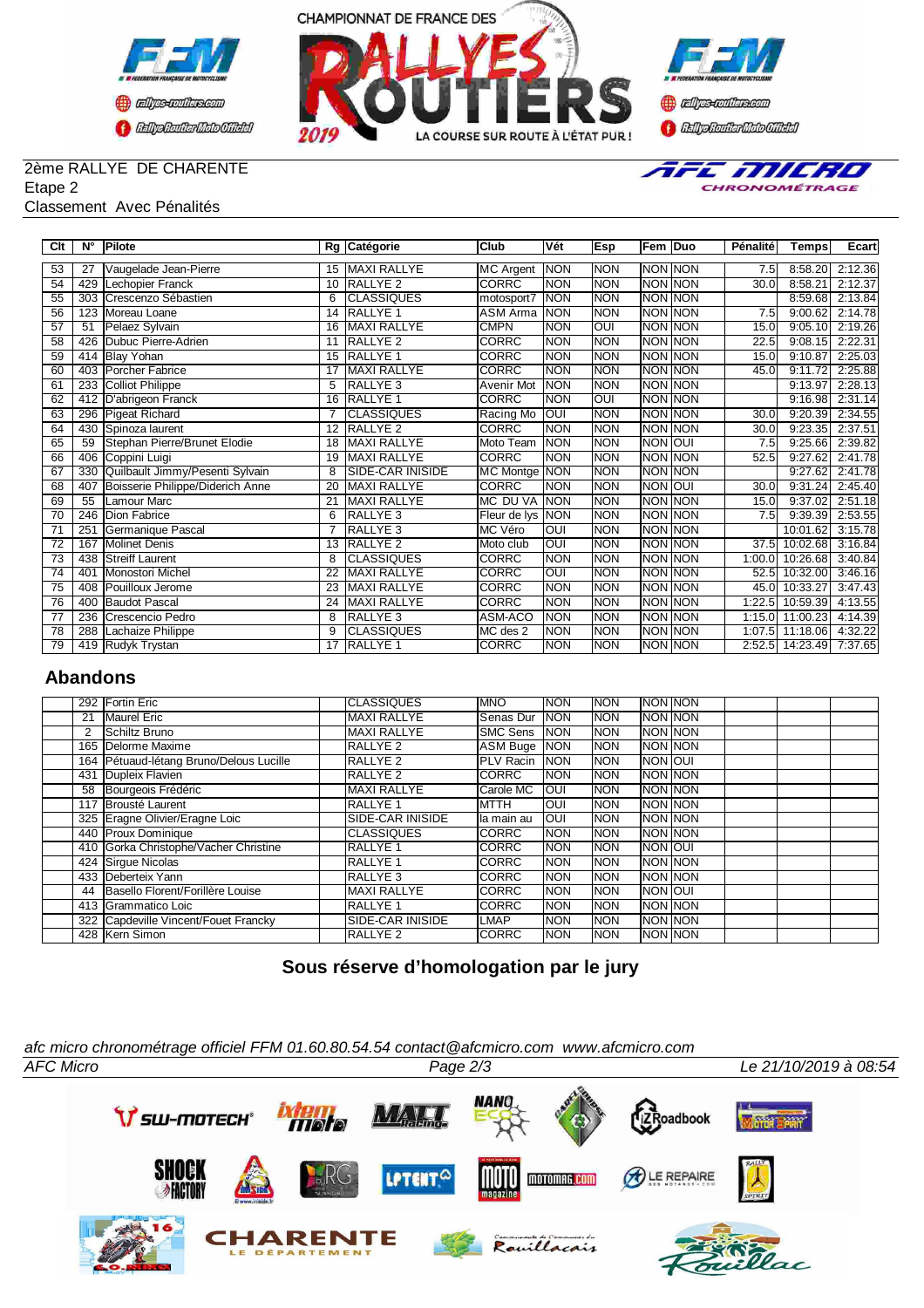



TEE TIJIERO CHRONOMÉTRAGE

#### 2ème RALLYE DE CHARENTE Etape 2

## Classement Avec Pénalités

|                 |             | SSCIIICIIL AVCU FUIIQIIIUS       |    |                     |                  |            |            |                |          |               |         |
|-----------------|-------------|----------------------------------|----|---------------------|------------------|------------|------------|----------------|----------|---------------|---------|
|                 |             |                                  |    |                     |                  |            |            |                |          |               |         |
| Clt             | $N^{\circ}$ | <b>Pilote</b>                    |    | Rg Catégorie        | Club             | Vét        | Esp        | Fem Duo        | Pénalité | Temps         | Ecart   |
| $\overline{53}$ | 27          | Vaugelade Jean-Pierre            | 15 | <b>MAXI RALLYE</b>  | <b>MC</b> Argent | <b>NON</b> | <b>NON</b> | NON NON        | 7.5      | 8:58.20       | 2:12.36 |
| 54              | 429         | Lechopier Franck                 | 10 | <b>RALLYE 2</b>     | <b>CORRC</b>     | <b>NON</b> | <b>NON</b> | <b>NON NON</b> | 30.0     | 8:58.21       | 2:12.37 |
| $\overline{55}$ | 303         | Crescenzo Sébastien              | 6  | <b>CLASSIQUES</b>   | motosport7       | <b>NON</b> | <b>NON</b> | NON NON        |          | 8:59.68       | 2:13.84 |
| 56              | 123         | Moreau Loane                     | 14 | <b>RALLYE 1</b>     | <b>ASM Arma</b>  | <b>NON</b> | <b>NON</b> | NON NON        | 7.5      | 9:00.62       | 2:14.78 |
| $\overline{57}$ | 51          | Pelaez Sylvain                   | 16 | <b>MAXI RALLYE</b>  | <b>CMPN</b>      | <b>NON</b> | OUI        | NON NON        | 15.0     | 9:05.10       | 2:19.26 |
| 58              | 426         | Dubuc Pierre-Adrien              | 11 | <b>RALLYE 2</b>     | CORRC            | <b>NON</b> | <b>NON</b> | NON NON        | 22.5     | 9:08.15       | 2:22.31 |
| 59              | 414         | <b>Blay Yohan</b>                | 15 | <b>RALLYE 1</b>     | CORRC            | <b>NON</b> | <b>NON</b> | NON NON        | 15.0     | 9:10.87       | 2:25.03 |
| $\overline{60}$ | 403         | Porcher Fabrice                  | 17 | <b>MAXI RALLYE</b>  | <b>CORRC</b>     | <b>NON</b> | <b>NON</b> | NON NON        | 45.0     | 9:11.72       | 2:25.88 |
| 61              | 233         | <b>Colliot Philippe</b>          | 5  | <b>RALLYE 3</b>     | Avenir Mot       | <b>NON</b> | <b>NON</b> | NON NON        |          | 9:13.97       | 2:28.13 |
| 62              |             | 412 D'abrigeon Franck            | 16 | <b>RALLYE 1</b>     | <b>CORRC</b>     | <b>NON</b> | OUI        | NON NON        |          | 9:16.98       | 2:31.14 |
| $\overline{63}$ | 296         | <b>Pigeat Richard</b>            |    | <b>CLASSIQUES</b>   | Racing Mo        | OUI        | <b>NON</b> | <b>NON NON</b> | 30.0     | 9:20.39       | 2:34.55 |
| 64              | 430         | Spinoza laurent                  | 12 | RALLYE <sub>2</sub> | <b>CORRC</b>     | <b>NON</b> | <b>NON</b> | NON NON        | 30.0     | 9:23.35       | 2:37.51 |
| 65              | 59          | Stephan Pierre/Brunet Elodie     | 18 | <b>MAXI RALLYE</b>  | Moto Team        | <b>NON</b> | <b>NON</b> | NON OUI        | 7.5      | 9:25.66       | 2:39.82 |
| 66              | 406         | Coppini Luigi                    | 19 | <b>MAXI RALLYE</b>  | <b>CORRC</b>     | <b>NON</b> | <b>NON</b> | <b>NON NON</b> | 52.5     | 9:27.62       | 2:41.78 |
| $\overline{67}$ | 330         | Quilbault Jimmy/Pesenti Sylvain  | 8  | SIDE-CAR INISIDE    | MC Montge NON    |            | <b>NON</b> | NON NON        |          | 9:27.62       | 2:41.78 |
| 68              | 407         | Boisserie Philippe/Diderich Anne | 20 | <b>MAXI RALLYE</b>  | <b>CORRC</b>     | <b>NON</b> | <b>NON</b> | <b>NON OUI</b> | 30.0     | 9:31.24       | 2:45.40 |
| 69              | 55          | Lamour Marc                      | 21 | <b>MAXI RALLYE</b>  | MC DU VA         | <b>NON</b> | <b>NON</b> | NON NON        | 15.0     | 9:37.02       | 2:51.18 |
| 70              | 246         | <b>Dion Fabrice</b>              | 6  | RALLYE <sub>3</sub> | Fleur de lys     | <b>NON</b> | <b>NON</b> | NON NON        | 7.5      | 9:39.39       | 2:53.55 |
| $\overline{71}$ | 251         | Germanique Pascal                |    | RALLYE <sub>3</sub> | MC Véro          | OUI        | <b>NON</b> | <b>NON NON</b> |          | 10:01.62      | 3:15.78 |
| 72              | 167         | <b>Molinet Denis</b>             | 13 | <b>RALLYE 2</b>     | Moto club        | OUI        | <b>NON</b> | NON NON        | 37.5     | 10:02.68      | 3:16.84 |
| 73              | 438         | <b>Streiff Laurent</b>           | 8  | <b>CLASSIQUES</b>   | <b>CORRC</b>     | <b>NON</b> | <b>NON</b> | NON NON        | 1:00.0   | 10:26.68      | 3:40.84 |
| 74              | 401         | Monostori Michel                 | 22 | <b>MAXI RALLYE</b>  | <b>CORRC</b>     | ЮUI        | <b>NON</b> | NON NON        | 52.5     | 10:32.00      | 3:46.16 |
| $\overline{75}$ | 408         | Pouilloux Jerome                 | 23 | <b>MAXI RALLYE</b>  | CORRC            | <b>NON</b> | <b>NON</b> | NON NON        |          | 45.0 10:33.27 | 3:47.43 |

## **Abandons**

|     | 292 Fortin Eric                         | <b>CLASSIQUES</b>       | <b>IMNO</b>       | <b>NON</b> | <b>NON</b>  | <b>INON INON</b> |  |  |
|-----|-----------------------------------------|-------------------------|-------------------|------------|-------------|------------------|--|--|
| 21  | <b>Maurel Eric</b>                      | <b>MAXI RALLYE</b>      | Senas Dur         | <b>NON</b> | <b>NON</b>  | <b>INON INON</b> |  |  |
| 2   | Schiltz Bruno                           | <b>MAXI RALLYE</b>      | <b>I</b> SMC Sens | <b>NON</b> | <b>INON</b> | <b>INON INON</b> |  |  |
|     | 165 Delorme Maxime                      | RALLYE <sub>2</sub>     | ASM Buge NON      |            | <b>NON</b>  | <b>INON INON</b> |  |  |
|     | 164 Pétuaud-létang Bruno/Delous Lucille | RALLYE <sub>2</sub>     | <b>IPLV Racin</b> | <b>NON</b> | <b>INON</b> | <b>INON JOUI</b> |  |  |
| 431 | Dupleix Flavien                         | <b>RALLYE 2</b>         | <b>ICORRC</b>     | <b>NON</b> | <b>NON</b>  | <b>INON INON</b> |  |  |
| 58  | Bourgeois Frédéric                      | <b>MAXI RALLYE</b>      | Carole MC         | <b>OUI</b> | <b>NON</b>  | <b>INON INON</b> |  |  |
|     | 117 Brousté Laurent                     | <b>RALLYE 1</b>         | <b>IMTTH</b>      | <b>OUI</b> | <b>NON</b>  | <b>INON INON</b> |  |  |
|     | 325 Eragne Olivier/Eragne Loic          | SIDE-CAR INISIDE        | Ila main au       | <b>OUI</b> | <b>NON</b>  | <b>INON INON</b> |  |  |
|     | 440 Proux Dominique                     | <b>CLASSIQUES</b>       | <b>ICORRC</b>     | <b>NON</b> | <b>NON</b>  | <b>INON INON</b> |  |  |
|     | 410 Gorka Christophe/Vacher Christine   | <b>RALLYE 1</b>         | <b>ICORRC</b>     | <b>NON</b> | <b>NON</b>  | <b>INON JOUI</b> |  |  |
|     | 424 Sirgue Nicolas                      | <b>RALLYE 1</b>         | <b>ICORRC</b>     | <b>NON</b> | <b>NON</b>  | <b>INON INON</b> |  |  |
|     | 433 Deberteix Yann                      | <b>RALLYE 3</b>         | <b>ICORRC</b>     | <b>NON</b> | <b>NON</b>  | <b>INON INON</b> |  |  |
| 44  | Basello Florent/Forillère Louise        | <b>MAXI RALLYE</b>      | <b>ICORRC</b>     | <b>NON</b> | <b>NON</b>  | <b>INON JOUI</b> |  |  |
|     | 413 Grammatico Loic                     | <b>RALLYE 1</b>         | <b>ICORRC</b>     | <b>NON</b> | <b>NON</b>  | <b>INON INON</b> |  |  |
|     | 322 Capdeville Vincent/Fouet Francky    | <b>SIDE-CAR INISIDE</b> | ILMAP             | <b>NON</b> | <b>NON</b>  | <b>INON INON</b> |  |  |
|     | 428 Kern Simon                          | <b>RALLYE 2</b>         | <b>ICORRC</b>     | <b>NON</b> | <b>NON</b>  | <b>INON INON</b> |  |  |

 400 Baudot Pascal 24 MAXI RALLYE CORRC NON NON NON NON 1:22.5 10:59.39 4:13.55 77 236 Crescencio Pedro 3 8 RALLYE 3 ASM-ACO NON NON NON NON 1:15.0 11:00.23 4:14.39<br>78 288 Lachaize Philippe 3 CLASSIQUES MC des 2 NON NON NON NON 1:07.5 11:18.06 4:32.22 288 Lachaize Philippe 9 CLASSIQUES MC des 2 NON NON NON NON 1:07.5 11:18.06 4:32.22

79 419 Rudyk Trystan 17 RALLYE 1 CORRC NON NON NON NON 1 2:52.5

# **Sous réserve d'homologation par le jury**

*afc micro chronométrage officiel FFM 01.60.80.54.54 contact@afcmicro.com www.afcmicro.com*